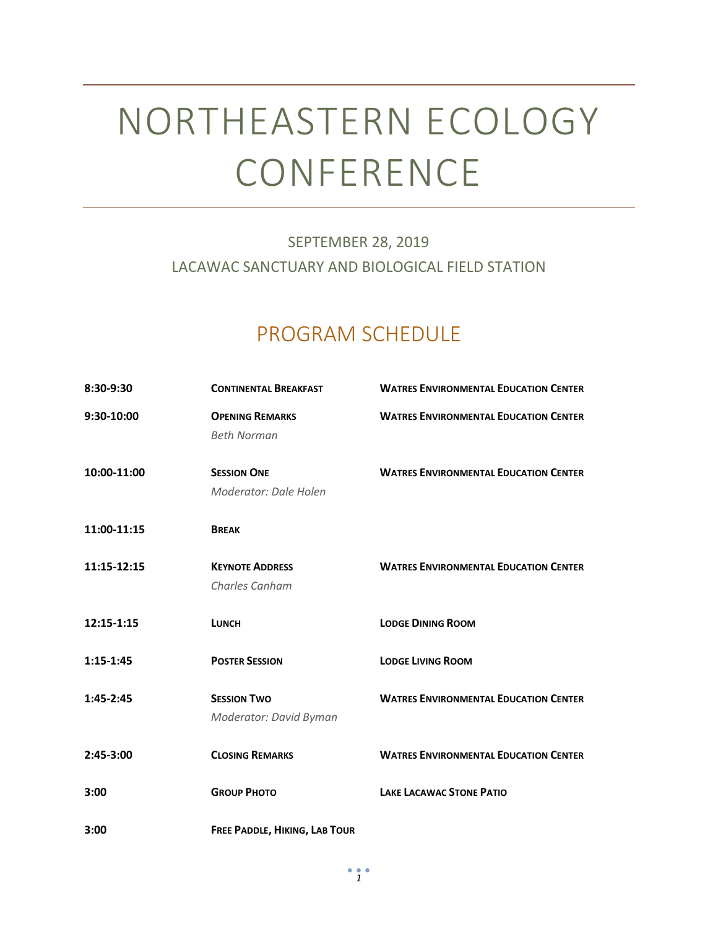# NORTHEASTERN ECOLOGY CONFERENCE

### SEPTEMBER 28, 2019 LACAWAC SANCTUARY AND BIOLOGICAL FIELD STATION

## PROGRAM SCHEDULE

| 8:30-9:30   | <b>CONTINENTAL BREAKFAST</b>                 | <b>WATRES ENVIRONMENTAL EDUCATION CENTER</b> |
|-------------|----------------------------------------------|----------------------------------------------|
| 9:30-10:00  | <b>OPENING REMARKS</b><br><b>Beth Norman</b> | <b>WATRES ENVIRONMENTAL EDUCATION CENTER</b> |
| 10:00-11:00 | <b>SESSION ONE</b><br>Moderator: Dale Holen  | <b>WATRES ENVIRONMENTAL EDUCATION CENTER</b> |
| 11:00-11:15 | <b>BREAK</b>                                 |                                              |
| 11:15-12:15 | <b>KEYNOTE ADDRESS</b><br>Charles Canham     | <b>WATRES ENVIRONMENTAL EDUCATION CENTER</b> |
| 12:15-1:15  | <b>LUNCH</b>                                 | <b>LODGE DINING ROOM</b>                     |
| $1:15-1:45$ | <b>POSTER SESSION</b>                        | <b>LODGE LIVING ROOM</b>                     |
| $1:45-2:45$ | <b>SESSION TWO</b><br>Moderator: David Byman | <b>WATRES ENVIRONMENTAL EDUCATION CENTER</b> |
| 2:45-3:00   | <b>CLOSING REMARKS</b>                       | <b>WATRES ENVIRONMENTAL EDUCATION CENTER</b> |
| 3:00        | <b>GROUP PHOTO</b>                           | <b>LAKE LACAWAC STONE PATIO</b>              |
| 3:00        | FREE PADDLE, HIKING, LAB TOUR                |                                              |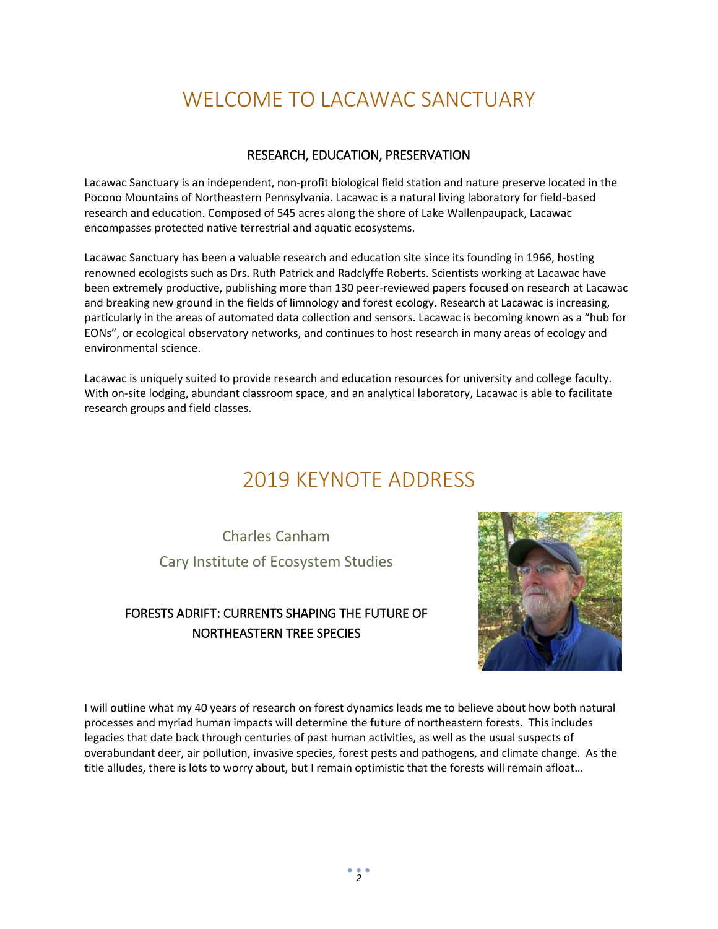# WELCOME TO LACAWAC SANCTUARY

### RESEARCH, EDUCATION, PRESERVATION

Lacawac Sanctuary is an independent, non-profit biological field station and nature preserve located in the Pocono Mountains of Northeastern Pennsylvania. Lacawac is a natural living laboratory for field-based research and education. Composed of 545 acres along the shore of Lake Wallenpaupack, Lacawac encompasses protected native terrestrial and aquatic ecosystems.

Lacawac Sanctuary has been a valuable research and education site since its founding in 1966, hosting renowned ecologists such as Drs. Ruth Patrick and Radclyffe Roberts. Scientists working at Lacawac have been extremely productive, publishing more than 130 peer-reviewed papers focused on research at Lacawac and breaking new ground in the fields of limnology and forest ecology. Research at Lacawac is increasing, particularly in the areas of automated data collection and sensors. Lacawac is becoming known as a "hub for EONs", or ecological observatory networks, and continues to host research in many areas of ecology and environmental science.

Lacawac is uniquely suited to provide research and education resources for university and college faculty. With on-site lodging, abundant classroom space, and an analytical laboratory, Lacawac is able to facilitate research groups and field classes.

### 2019 KEYNOTE ADDRESS

Charles Canham Cary Institute of Ecosystem Studies

### FORESTS ADRIFT: CURRENTS SHAPING THE FUTURE OF NORTHEASTERN TREE SPECIES



I will outline what my 40 years of research on forest dynamics leads me to believe about how both natural processes and myriad human impacts will determine the future of northeastern forests. This includes legacies that date back through centuries of past human activities, as well as the usual suspects of overabundant deer, air pollution, invasive species, forest pests and pathogens, and climate change. As the title alludes, there is lots to worry about, but I remain optimistic that the forests will remain afloat…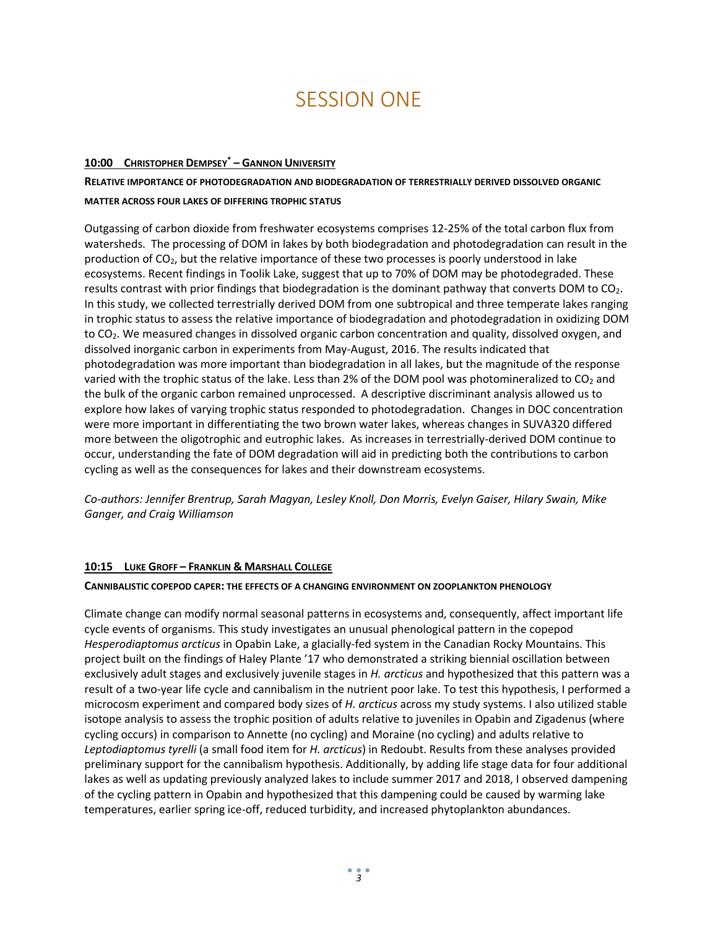### SESSION ONE

#### **10:00 CHRISTOPHER DEMPSEY\* – GANNON UNIVERSITY**

**RELATIVE IMPORTANCE OF PHOTODEGRADATION AND BIODEGRADATION OF TERRESTRIALLY DERIVED DISSOLVED ORGANIC MATTER ACROSS FOUR LAKES OF DIFFERING TROPHIC STATUS**

Outgassing of carbon dioxide from freshwater ecosystems comprises 12-25% of the total carbon flux from watersheds. The processing of DOM in lakes by both biodegradation and photodegradation can result in the production of CO<sub>2</sub>, but the relative importance of these two processes is poorly understood in lake ecosystems. Recent findings in Toolik Lake, suggest that up to 70% of DOM may be photodegraded. These results contrast with prior findings that biodegradation is the dominant pathway that converts DOM to CO2. In this study, we collected terrestrially derived DOM from one subtropical and three temperate lakes ranging in trophic status to assess the relative importance of biodegradation and photodegradation in oxidizing DOM to CO<sub>2</sub>. We measured changes in dissolved organic carbon concentration and quality, dissolved oxygen, and dissolved inorganic carbon in experiments from May-August, 2016. The results indicated that photodegradation was more important than biodegradation in all lakes, but the magnitude of the response varied with the trophic status of the lake. Less than 2% of the DOM pool was photomineralized to  $CO<sub>2</sub>$  and the bulk of the organic carbon remained unprocessed. A descriptive discriminant analysis allowed us to explore how lakes of varying trophic status responded to photodegradation. Changes in DOC concentration were more important in differentiating the two brown water lakes, whereas changes in SUVA320 differed more between the oligotrophic and eutrophic lakes. As increases in terrestrially-derived DOM continue to occur, understanding the fate of DOM degradation will aid in predicting both the contributions to carbon cycling as well as the consequences for lakes and their downstream ecosystems.

*Co-authors: Jennifer Brentrup, Sarah Magyan, Lesley Knoll, Don Morris, Evelyn Gaiser, Hilary Swain, Mike Ganger, and Craig Williamson*

#### **10:15 LUKE GROFF – FRANKLIN & MARSHALL COLLEGE**

#### **CANNIBALISTIC COPEPOD CAPER: THE EFFECTS OF A CHANGING ENVIRONMENT ON ZOOPLANKTON PHENOLOGY**

Climate change can modify normal seasonal patterns in ecosystems and, consequently, affect important life cycle events of organisms. This study investigates an unusual phenological pattern in the copepod *Hesperodiaptomus arcticus* in Opabin Lake, a glacially-fed system in the Canadian Rocky Mountains. This project built on the findings of Haley Plante '17 who demonstrated a striking biennial oscillation between exclusively adult stages and exclusively juvenile stages in *H. arcticus* and hypothesized that this pattern was a result of a two-year life cycle and cannibalism in the nutrient poor lake. To test this hypothesis, I performed a microcosm experiment and compared body sizes of *H. arcticus* across my study systems. I also utilized stable isotope analysis to assess the trophic position of adults relative to juveniles in Opabin and Zigadenus (where cycling occurs) in comparison to Annette (no cycling) and Moraine (no cycling) and adults relative to *Leptodiaptomus tyrelli* (a small food item for *H. arcticus*) in Redoubt. Results from these analyses provided preliminary support for the cannibalism hypothesis. Additionally, by adding life stage data for four additional lakes as well as updating previously analyzed lakes to include summer 2017 and 2018, I observed dampening of the cycling pattern in Opabin and hypothesized that this dampening could be caused by warming lake temperatures, earlier spring ice-off, reduced turbidity, and increased phytoplankton abundances.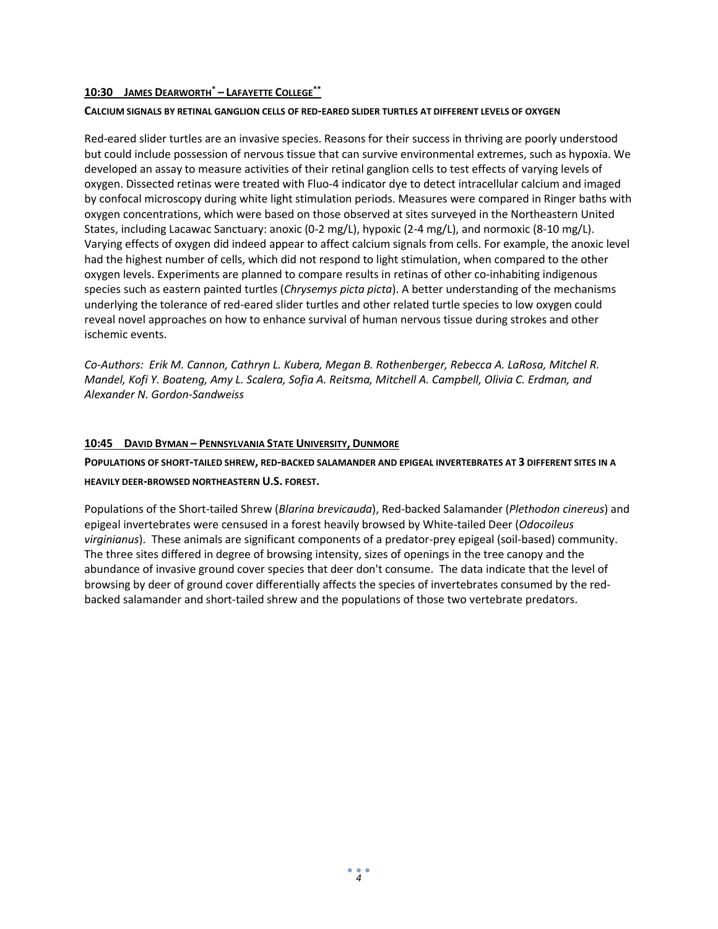#### **10:30 JAMES DEARWORTH\* – LAFAYETTE COLLEGE\*\***

#### **CALCIUM SIGNALS BY RETINAL GANGLION CELLS OF RED-EARED SLIDER TURTLES AT DIFFERENT LEVELS OF OXYGEN**

Red-eared slider turtles are an invasive species. Reasons for their success in thriving are poorly understood but could include possession of nervous tissue that can survive environmental extremes, such as hypoxia. We developed an assay to measure activities of their retinal ganglion cells to test effects of varying levels of oxygen. Dissected retinas were treated with Fluo-4 indicator dye to detect intracellular calcium and imaged by confocal microscopy during white light stimulation periods. Measures were compared in Ringer baths with oxygen concentrations, which were based on those observed at sites surveyed in the Northeastern United States, including Lacawac Sanctuary: anoxic (0-2 mg/L), hypoxic (2-4 mg/L), and normoxic (8-10 mg/L). Varying effects of oxygen did indeed appear to affect calcium signals from cells. For example, the anoxic level had the highest number of cells, which did not respond to light stimulation, when compared to the other oxygen levels. Experiments are planned to compare results in retinas of other co-inhabiting indigenous species such as eastern painted turtles (*Chrysemys picta picta*). A better understanding of the mechanisms underlying the tolerance of red-eared slider turtles and other related turtle species to low oxygen could reveal novel approaches on how to enhance survival of human nervous tissue during strokes and other ischemic events.

*Co-Authors: Erik M. Cannon, Cathryn L. Kubera, Megan B. Rothenberger, Rebecca A. LaRosa, Mitchel R. Mandel, Kofi Y. Boateng, Amy L. Scalera, Sofia A. Reitsma, Mitchell A. Campbell, Olivia C. Erdman, and Alexander N. Gordon-Sandweiss*

#### **10:45 DAVID BYMAN – PENNSYLVANIA STATE UNIVERSITY, DUNMORE**

**POPULATIONS OF SHORT-TAILED SHREW, RED-BACKED SALAMANDER AND EPIGEAL INVERTEBRATES AT 3 DIFFERENT SITES IN A HEAVILY DEER-BROWSED NORTHEASTERN U.S. FOREST.**

Populations of the Short-tailed Shrew (*Blarina brevicauda*), Red-backed Salamander (*Plethodon cinereus*) and epigeal invertebrates were censused in a forest heavily browsed by White-tailed Deer (*Odocoileus virginianus*). These animals are significant components of a predator-prey epigeal (soil-based) community. The three sites differed in degree of browsing intensity, sizes of openings in the tree canopy and the abundance of invasive ground cover species that deer don't consume. The data indicate that the level of browsing by deer of ground cover differentially affects the species of invertebrates consumed by the redbacked salamander and short-tailed shrew and the populations of those two vertebrate predators.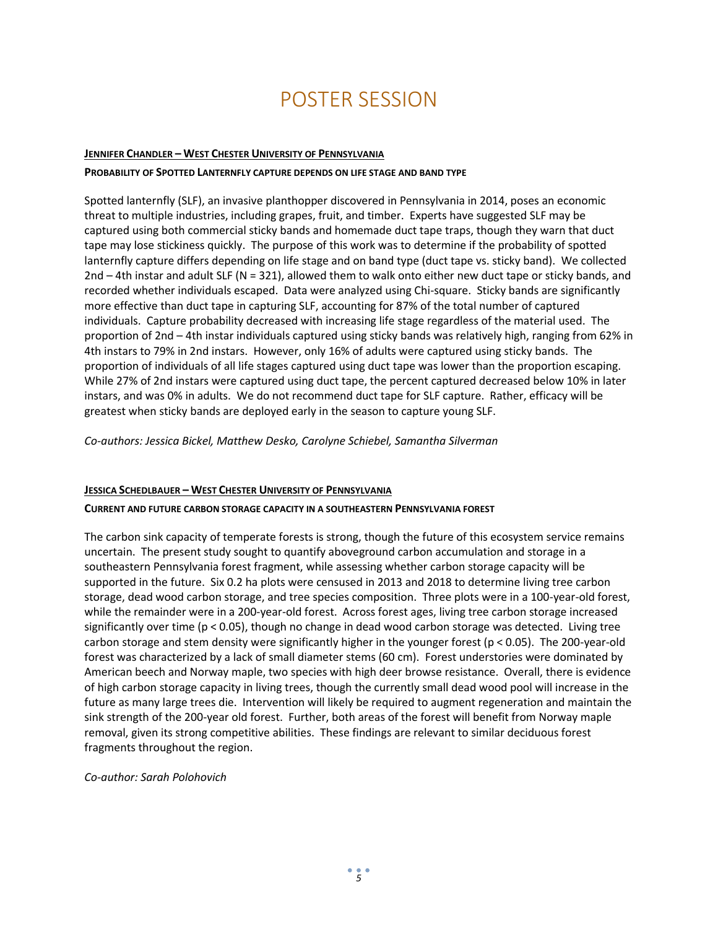### POSTER SESSION

#### **JENNIFER CHANDLER – WEST CHESTER UNIVERSITY OF PENNSYLVANIA**

#### **PROBABILITY OF SPOTTED LANTERNFLY CAPTURE DEPENDS ON LIFE STAGE AND BAND TYPE**

Spotted lanternfly (SLF), an invasive planthopper discovered in Pennsylvania in 2014, poses an economic threat to multiple industries, including grapes, fruit, and timber. Experts have suggested SLF may be captured using both commercial sticky bands and homemade duct tape traps, though they warn that duct tape may lose stickiness quickly. The purpose of this work was to determine if the probability of spotted lanternfly capture differs depending on life stage and on band type (duct tape vs. sticky band). We collected 2nd – 4th instar and adult SLF (N = 321), allowed them to walk onto either new duct tape or sticky bands, and recorded whether individuals escaped. Data were analyzed using Chi-square. Sticky bands are significantly more effective than duct tape in capturing SLF, accounting for 87% of the total number of captured individuals. Capture probability decreased with increasing life stage regardless of the material used. The proportion of 2nd – 4th instar individuals captured using sticky bands was relatively high, ranging from 62% in 4th instars to 79% in 2nd instars. However, only 16% of adults were captured using sticky bands. The proportion of individuals of all life stages captured using duct tape was lower than the proportion escaping. While 27% of 2nd instars were captured using duct tape, the percent captured decreased below 10% in later instars, and was 0% in adults. We do not recommend duct tape for SLF capture. Rather, efficacy will be greatest when sticky bands are deployed early in the season to capture young SLF.

*Co-authors: Jessica Bickel, Matthew Desko, Carolyne Schiebel, Samantha Silverman*

#### **JESSICA SCHEDLBAUER – WEST CHESTER UNIVERSITY OF PENNSYLVANIA**

#### **CURRENT AND FUTURE CARBON STORAGE CAPACITY IN A SOUTHEASTERN PENNSYLVANIA FOREST**

The carbon sink capacity of temperate forests is strong, though the future of this ecosystem service remains uncertain. The present study sought to quantify aboveground carbon accumulation and storage in a southeastern Pennsylvania forest fragment, while assessing whether carbon storage capacity will be supported in the future. Six 0.2 ha plots were censused in 2013 and 2018 to determine living tree carbon storage, dead wood carbon storage, and tree species composition. Three plots were in a 100-year-old forest, while the remainder were in a 200-year-old forest. Across forest ages, living tree carbon storage increased significantly over time (p < 0.05), though no change in dead wood carbon storage was detected. Living tree carbon storage and stem density were significantly higher in the younger forest (p < 0.05). The 200-year-old forest was characterized by a lack of small diameter stems (60 cm). Forest understories were dominated by American beech and Norway maple, two species with high deer browse resistance. Overall, there is evidence of high carbon storage capacity in living trees, though the currently small dead wood pool will increase in the future as many large trees die. Intervention will likely be required to augment regeneration and maintain the sink strength of the 200-year old forest. Further, both areas of the forest will benefit from Norway maple removal, given its strong competitive abilities. These findings are relevant to similar deciduous forest fragments throughout the region.

*Co-author: Sarah Polohovich*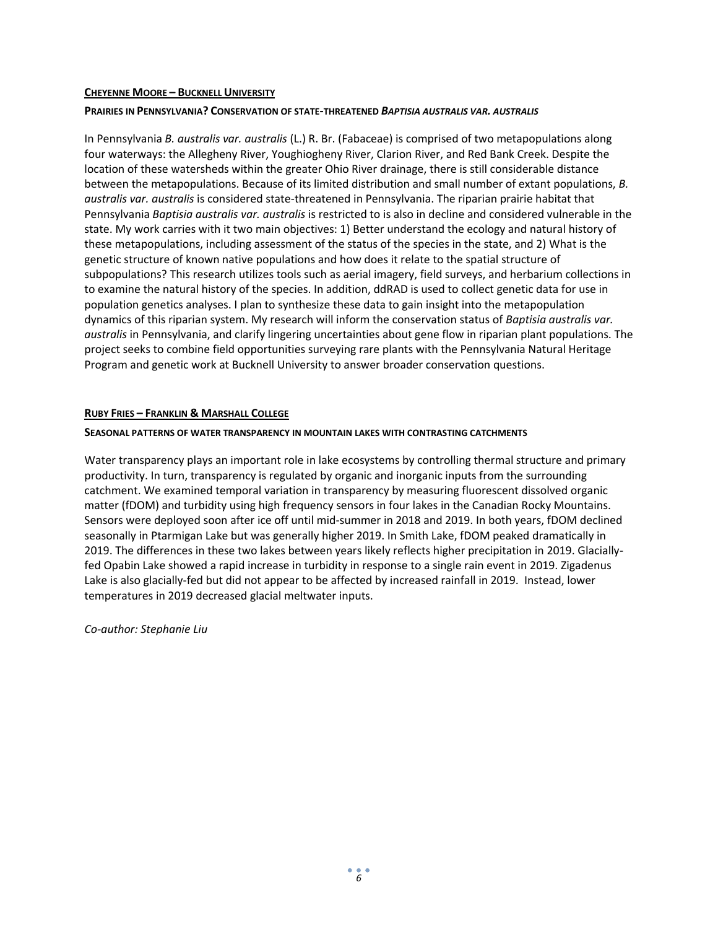#### **CHEYENNE MOORE – BUCKNELL UNIVERSITY**

#### **PRAIRIES IN PENNSYLVANIA? CONSERVATION OF STATE-THREATENED** *BAPTISIA AUSTRALIS VAR. AUSTRALIS*

In Pennsylvania *B. australis var. australis* (L.) R. Br. (Fabaceae) is comprised of two metapopulations along four waterways: the Allegheny River, Youghiogheny River, Clarion River, and Red Bank Creek. Despite the location of these watersheds within the greater Ohio River drainage, there is still considerable distance between the metapopulations. Because of its limited distribution and small number of extant populations, *B. australis var. australis* is considered state-threatened in Pennsylvania. The riparian prairie habitat that Pennsylvania *Baptisia australis var. australis* is restricted to is also in decline and considered vulnerable in the state. My work carries with it two main objectives: 1) Better understand the ecology and natural history of these metapopulations, including assessment of the status of the species in the state, and 2) What is the genetic structure of known native populations and how does it relate to the spatial structure of subpopulations? This research utilizes tools such as aerial imagery, field surveys, and herbarium collections in to examine the natural history of the species. In addition, ddRAD is used to collect genetic data for use in population genetics analyses. I plan to synthesize these data to gain insight into the metapopulation dynamics of this riparian system. My research will inform the conservation status of *Baptisia australis var. australis* in Pennsylvania, and clarify lingering uncertainties about gene flow in riparian plant populations. The project seeks to combine field opportunities surveying rare plants with the Pennsylvania Natural Heritage Program and genetic work at Bucknell University to answer broader conservation questions.

#### **RUBY FRIES – FRANKLIN & MARSHALL COLLEGE**

#### **SEASONAL PATTERNS OF WATER TRANSPARENCY IN MOUNTAIN LAKES WITH CONTRASTING CATCHMENTS**

Water transparency plays an important role in lake ecosystems by controlling thermal structure and primary productivity. In turn, transparency is regulated by organic and inorganic inputs from the surrounding catchment. We examined temporal variation in transparency by measuring fluorescent dissolved organic matter (fDOM) and turbidity using high frequency sensors in four lakes in the Canadian Rocky Mountains. Sensors were deployed soon after ice off until mid-summer in 2018 and 2019. In both years, fDOM declined seasonally in Ptarmigan Lake but was generally higher 2019. In Smith Lake, fDOM peaked dramatically in 2019. The differences in these two lakes between years likely reflects higher precipitation in 2019. Glaciallyfed Opabin Lake showed a rapid increase in turbidity in response to a single rain event in 2019. Zigadenus Lake is also glacially-fed but did not appear to be affected by increased rainfall in 2019. Instead, lower temperatures in 2019 decreased glacial meltwater inputs.

*Co-author: Stephanie Liu*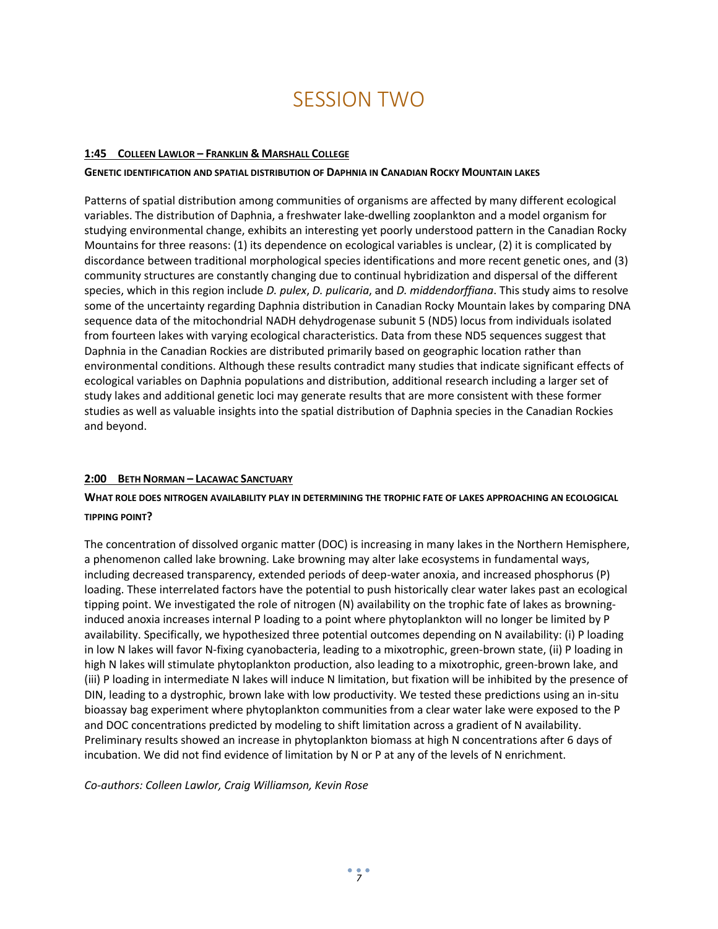### SESSION TWO

#### **1:45 COLLEEN LAWLOR – FRANKLIN & MARSHALL COLLEGE**

#### **GENETIC IDENTIFICATION AND SPATIAL DISTRIBUTION OF DAPHNIA IN CANADIAN ROCKY MOUNTAIN LAKES**

Patterns of spatial distribution among communities of organisms are affected by many different ecological variables. The distribution of Daphnia, a freshwater lake-dwelling zooplankton and a model organism for studying environmental change, exhibits an interesting yet poorly understood pattern in the Canadian Rocky Mountains for three reasons: (1) its dependence on ecological variables is unclear, (2) it is complicated by discordance between traditional morphological species identifications and more recent genetic ones, and (3) community structures are constantly changing due to continual hybridization and dispersal of the different species, which in this region include *D. pulex*, *D. pulicaria*, and *D. middendorffiana*. This study aims to resolve some of the uncertainty regarding Daphnia distribution in Canadian Rocky Mountain lakes by comparing DNA sequence data of the mitochondrial NADH dehydrogenase subunit 5 (ND5) locus from individuals isolated from fourteen lakes with varying ecological characteristics. Data from these ND5 sequences suggest that Daphnia in the Canadian Rockies are distributed primarily based on geographic location rather than environmental conditions. Although these results contradict many studies that indicate significant effects of ecological variables on Daphnia populations and distribution, additional research including a larger set of study lakes and additional genetic loci may generate results that are more consistent with these former studies as well as valuable insights into the spatial distribution of Daphnia species in the Canadian Rockies and beyond.

#### **2:00 BETH NORMAN – LACAWAC SANCTUARY**

#### **WHAT ROLE DOES NITROGEN AVAILABILITY PLAY IN DETERMINING THE TROPHIC FATE OF LAKES APPROACHING AN ECOLOGICAL TIPPING POINT?**

The concentration of dissolved organic matter (DOC) is increasing in many lakes in the Northern Hemisphere, a phenomenon called lake browning. Lake browning may alter lake ecosystems in fundamental ways, including decreased transparency, extended periods of deep-water anoxia, and increased phosphorus (P) loading. These interrelated factors have the potential to push historically clear water lakes past an ecological tipping point. We investigated the role of nitrogen (N) availability on the trophic fate of lakes as browninginduced anoxia increases internal P loading to a point where phytoplankton will no longer be limited by P availability. Specifically, we hypothesized three potential outcomes depending on N availability: (i) P loading in low N lakes will favor N-fixing cyanobacteria, leading to a mixotrophic, green-brown state, (ii) P loading in high N lakes will stimulate phytoplankton production, also leading to a mixotrophic, green-brown lake, and (iii) P loading in intermediate N lakes will induce N limitation, but fixation will be inhibited by the presence of DIN, leading to a dystrophic, brown lake with low productivity. We tested these predictions using an in-situ bioassay bag experiment where phytoplankton communities from a clear water lake were exposed to the P and DOC concentrations predicted by modeling to shift limitation across a gradient of N availability. Preliminary results showed an increase in phytoplankton biomass at high N concentrations after 6 days of incubation. We did not find evidence of limitation by N or P at any of the levels of N enrichment.

*Co-authors: Colleen Lawlor, Craig Williamson, Kevin Rose*